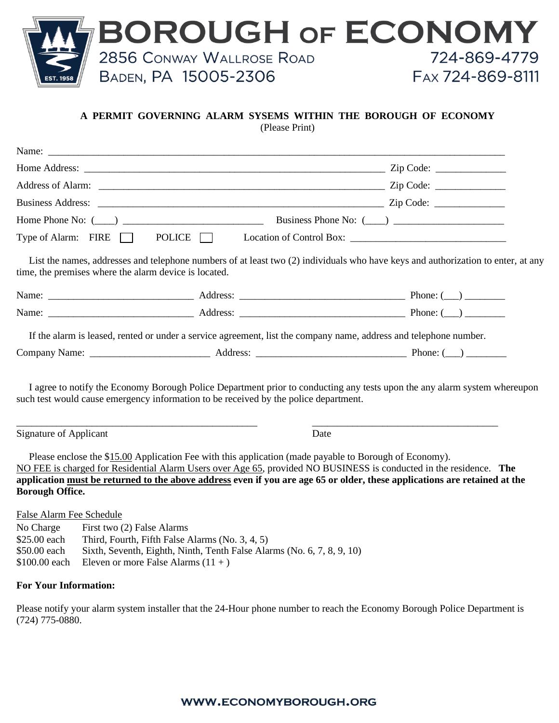

#### **A PERMIT GOVERNING ALARM SYSEMS WITHIN THE BOROUGH OF ECONOMY**

(Please Print)

|                                                                                                                                    |                                                                                                        | Type of Alarm: FIRE POLICE   Location of Control Box: __________________________                                                                                                                                                                |
|------------------------------------------------------------------------------------------------------------------------------------|--------------------------------------------------------------------------------------------------------|-------------------------------------------------------------------------------------------------------------------------------------------------------------------------------------------------------------------------------------------------|
| time, the premises where the alarm device is located.                                                                              |                                                                                                        | List the names, addresses and telephone numbers of at least two (2) individuals who have keys and authorization to enter, at any                                                                                                                |
|                                                                                                                                    |                                                                                                        |                                                                                                                                                                                                                                                 |
|                                                                                                                                    |                                                                                                        |                                                                                                                                                                                                                                                 |
|                                                                                                                                    |                                                                                                        | If the alarm is leased, rented or under a service agreement, list the company name, address and telephone number.                                                                                                                               |
|                                                                                                                                    |                                                                                                        |                                                                                                                                                                                                                                                 |
|                                                                                                                                    | such test would cause emergency information to be received by the police department.                   | I agree to notify the Economy Borough Police Department prior to conducting any tests upon the any alarm system whereupon                                                                                                                       |
| Signature of Applicant                                                                                                             |                                                                                                        | Date                                                                                                                                                                                                                                            |
| <b>Borough Office.</b>                                                                                                             | Please enclose the \$15.00 Application Fee with this application (made payable to Borough of Economy). | NO FEE is charged for Residential Alarm Users over Age 65, provided NO BUSINESS is conducted in the residence. The<br>application must be returned to the above address even if you are age 65 or older, these applications are retained at the |
| False Alarm Fee Schedule<br>First two (2) False Alarms<br>No Charge<br>$$25.00$ each Third Fourth Fifth False Alarms (No. 3, 4, 5) |                                                                                                        |                                                                                                                                                                                                                                                 |

- \$25.00 each Third, Fourth, Fifth False Alarms (No. 3, 4, 5)
- \$50.00 each Sixth, Seventh, Eighth, Ninth, Tenth False Alarms (No. 6, 7, 8, 9, 10)
- $$100.00$  each Eleven or more False Alarms  $(11 + )$

#### **For Your Information:**

Please notify your alarm system installer that the 24-Hour phone number to reach the Economy Borough Police Department is (724) 775-0880.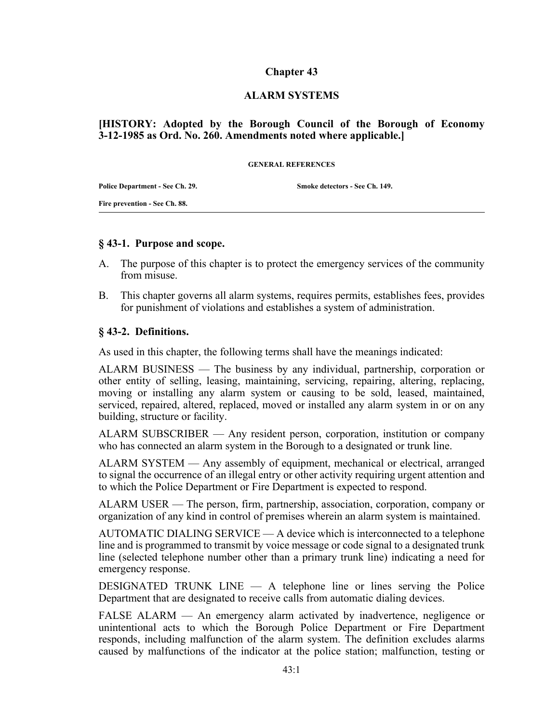## **Chapter 43**

#### **ALARM SYSTEMS**

## **[HISTORY: Adopted by the Borough Council of the Borough of Economy 3-12-1985 as Ord. No. 260. Amendments noted where applicable.]**

**GENERAL REFERENCES**

**Police Department - See Ch. 29.**

**Smoke detectors - See Ch. 149.**

**Fire prevention - See Ch. 88.**

#### **§ 43-1. Purpose and scope.**

- A. The purpose of this chapter is to protect the emergency services of the community from misuse.
- B. This chapter governs all alarm systems, requires permits, establishes fees, provides for punishment of violations and establishes a system of administration.

#### **§ 43-2. Definitions.**

As used in this chapter, the following terms shall have the meanings indicated:

ALARM BUSINESS — The business by any individual, partnership, corporation or other entity of selling, leasing, maintaining, servicing, repairing, altering, replacing, moving or installing any alarm system or causing to be sold, leased, maintained, serviced, repaired, altered, replaced, moved or installed any alarm system in or on any building, structure or facility.

ALARM SUBSCRIBER — Any resident person, corporation, institution or company who has connected an alarm system in the Borough to a designated or trunk line.

ALARM SYSTEM — Any assembly of equipment, mechanical or electrical, arranged to signal the occurrence of an illegal entry or other activity requiring urgent attention and to which the Police Department or Fire Department is expected to respond.

ALARM USER — The person, firm, partnership, association, corporation, company or organization of any kind in control of premises wherein an alarm system is maintained.

AUTOMATIC DIALING SERVICE — A device which is interconnected to a telephone line and is programmed to transmit by voice message or code signal to a designated trunk line (selected telephone number other than a primary trunk line) indicating a need for emergency response.

DESIGNATED TRUNK LINE — A telephone line or lines serving the Police Department that are designated to receive calls from automatic dialing devices.

FALSE ALARM — An emergency alarm activated by inadvertence, negligence or unintentional acts to which the Borough Police Department or Fire Department responds, including malfunction of the alarm system. The definition excludes alarms caused by malfunctions of the indicator at the police station; malfunction, testing or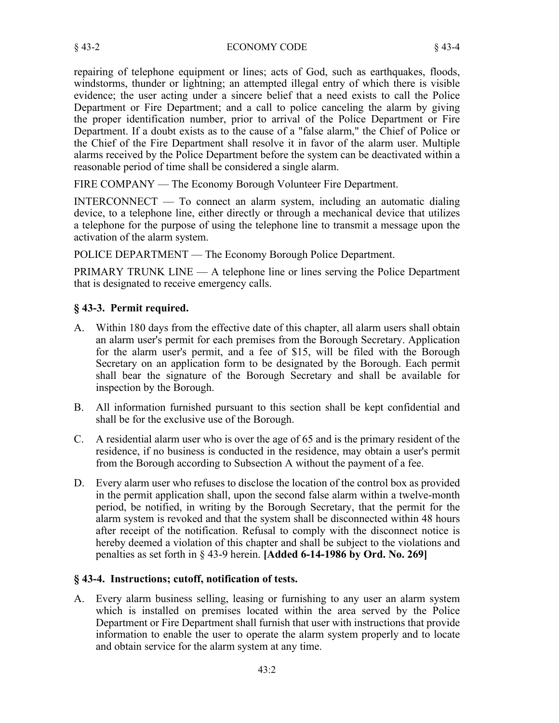repairing of telephone equipment or lines; acts of God, such as earthquakes, floods, windstorms, thunder or lightning; an attempted illegal entry of which there is visible evidence; the user acting under a sincere belief that a need exists to call the Police Department or Fire Department; and a call to police canceling the alarm by giving the proper identification number, prior to arrival of the Police Department or Fire Department. If a doubt exists as to the cause of a "false alarm," the Chief of Police or the Chief of the Fire Department shall resolve it in favor of the alarm user. Multiple alarms received by the Police Department before the system can be deactivated within a reasonable period of time shall be considered a single alarm.

FIRE COMPANY — The Economy Borough Volunteer Fire Department.

INTERCONNECT — To connect an alarm system, including an automatic dialing device, to a telephone line, either directly or through a mechanical device that utilizes a telephone for the purpose of using the telephone line to transmit a message upon the activation of the alarm system.

POLICE DEPARTMENT — The Economy Borough Police Department.

PRIMARY TRUNK LINE — A telephone line or lines serving the Police Department that is designated to receive emergency calls.

# **§ 43-3. Permit required.**

- A. Within 180 days from the effective date of this chapter, all alarm users shall obtain an alarm user's permit for each premises from the Borough Secretary. Application for the alarm user's permit, and a fee of \$15, will be filed with the Borough Secretary on an application form to be designated by the Borough. Each permit shall bear the signature of the Borough Secretary and shall be available for inspection by the Borough.
- B. All information furnished pursuant to this section shall be kept confidential and shall be for the exclusive use of the Borough.
- C. A residential alarm user who is over the age of 65 and is the primary resident of the residence, if no business is conducted in the residence, may obtain a user's permit from the Borough according to Subsection A without the payment of a fee.
- D. Every alarm user who refuses to disclose the location of the control box as provided in the permit application shall, upon the second false alarm within a twelve-month period, be notified, in writing by the Borough Secretary, that the permit for the alarm system is revoked and that the system shall be disconnected within 48 hours after receipt of the notification. Refusal to comply with the disconnect notice is hereby deemed a violation of this chapter and shall be subject to the violations and penalties as set forth in § 43-9 herein. **[Added 6-14-1986 by Ord. No. 269]**

## **§ 43-4. Instructions; cutoff, notification of tests.**

A. Every alarm business selling, leasing or furnishing to any user an alarm system which is installed on premises located within the area served by the Police Department or Fire Department shall furnish that user with instructions that provide information to enable the user to operate the alarm system properly and to locate and obtain service for the alarm system at any time.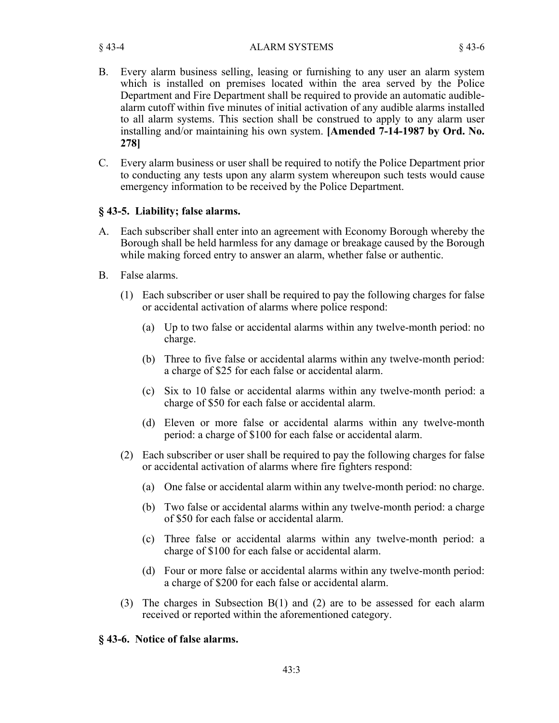§ 43-4 ALARM SYSTEMS § 43-6

- B. Every alarm business selling, leasing or furnishing to any user an alarm system which is installed on premises located within the area served by the Police Department and Fire Department shall be required to provide an automatic audiblealarm cutoff within five minutes of initial activation of any audible alarms installed to all alarm systems. This section shall be construed to apply to any alarm user installing and/or maintaining his own system. **[Amended 7-14-1987 by Ord. No. 278]**
- C. Every alarm business or user shall be required to notify the Police Department prior to conducting any tests upon any alarm system whereupon such tests would cause emergency information to be received by the Police Department.

## **§ 43-5. Liability; false alarms.**

- A. Each subscriber shall enter into an agreement with Economy Borough whereby the Borough shall be held harmless for any damage or breakage caused by the Borough while making forced entry to answer an alarm, whether false or authentic.
- B. False alarms.
	- (1) Each subscriber or user shall be required to pay the following charges for false or accidental activation of alarms where police respond:
		- (a) Up to two false or accidental alarms within any twelve-month period: no charge.
		- (b) Three to five false or accidental alarms within any twelve-month period: a charge of \$25 for each false or accidental alarm.
		- (c) Six to 10 false or accidental alarms within any twelve-month period: a charge of \$50 for each false or accidental alarm.
		- (d) Eleven or more false or accidental alarms within any twelve-month period: a charge of \$100 for each false or accidental alarm.
	- (2) Each subscriber or user shall be required to pay the following charges for false or accidental activation of alarms where fire fighters respond:
		- (a) One false or accidental alarm within any twelve-month period: no charge.
		- (b) Two false or accidental alarms within any twelve-month period: a charge of \$50 for each false or accidental alarm.
		- (c) Three false or accidental alarms within any twelve-month period: a charge of \$100 for each false or accidental alarm.
		- (d) Four or more false or accidental alarms within any twelve-month period: a charge of \$200 for each false or accidental alarm.
	- (3) The charges in Subsection B(1) and (2) are to be assessed for each alarm received or reported within the aforementioned category.

# **§ 43-6. Notice of false alarms.**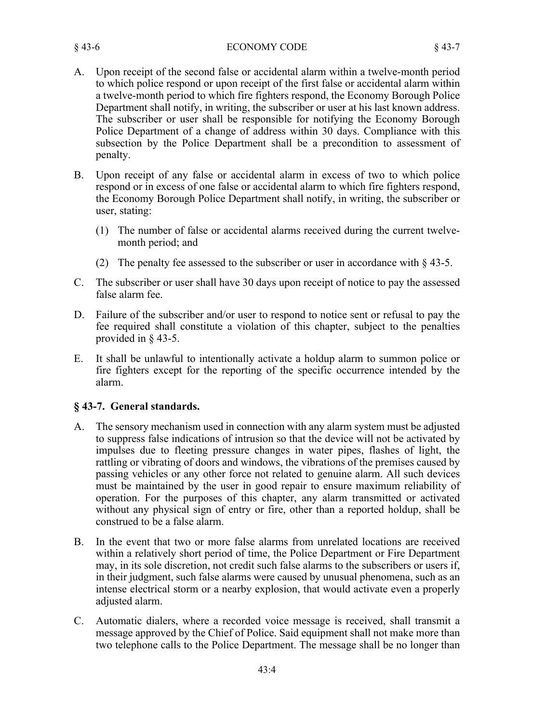#### § 43-6 ECONOMY CODE § 43-7

- A. Upon receipt of the second false or accidental alarm within a twelve-month period to which police respond or upon receipt of the first false or accidental alarm within a twelve-month period to which fire fighters respond, the Economy Borough Police Department shall notify, in writing, the subscriber or user at his last known address. The subscriber or user shall be responsible for notifying the Economy Borough Police Department of a change of address within 30 days. Compliance with this subsection by the Police Department shall be a precondition to assessment of penalty.
- B. Upon receipt of any false or accidental alarm in excess of two to which police respond or in excess of one false or accidental alarm to which fire fighters respond, the Economy Borough Police Department shall notify, in writing, the subscriber or user, stating:
	- (1) The number of false or accidental alarms received during the current twelvemonth period; and
	- (2) The penalty fee assessed to the subscriber or user in accordance with  $\S$  43-5.
- C. The subscriber or user shall have 30 days upon receipt of notice to pay the assessed false alarm fee.
- D. Failure of the subscriber and/or user to respond to notice sent or refusal to pay the fee required shall constitute a violation of this chapter, subject to the penalties provided in § 43-5.
- E. It shall be unlawful to intentionally activate a holdup alarm to summon police or fire fighters except for the reporting of the specific occurrence intended by the alarm.

## **§ 43-7. General standards.**

- A. The sensory mechanism used in connection with any alarm system must be adjusted to suppress false indications of intrusion so that the device will not be activated by impulses due to fleeting pressure changes in water pipes, flashes of light, the rattling or vibrating of doors and windows, the vibrations of the premises caused by passing vehicles or any other force not related to genuine alarm. All such devices must be maintained by the user in good repair to ensure maximum reliability of operation. For the purposes of this chapter, any alarm transmitted or activated without any physical sign of entry or fire, other than a reported holdup, shall be construed to be a false alarm.
- B. In the event that two or more false alarms from unrelated locations are received within a relatively short period of time, the Police Department or Fire Department may, in its sole discretion, not credit such false alarms to the subscribers or users if, in their judgment, such false alarms were caused by unusual phenomena, such as an intense electrical storm or a nearby explosion, that would activate even a properly adjusted alarm.
- C. Automatic dialers, where a recorded voice message is received, shall transmit a message approved by the Chief of Police. Said equipment shall not make more than two telephone calls to the Police Department. The message shall be no longer than